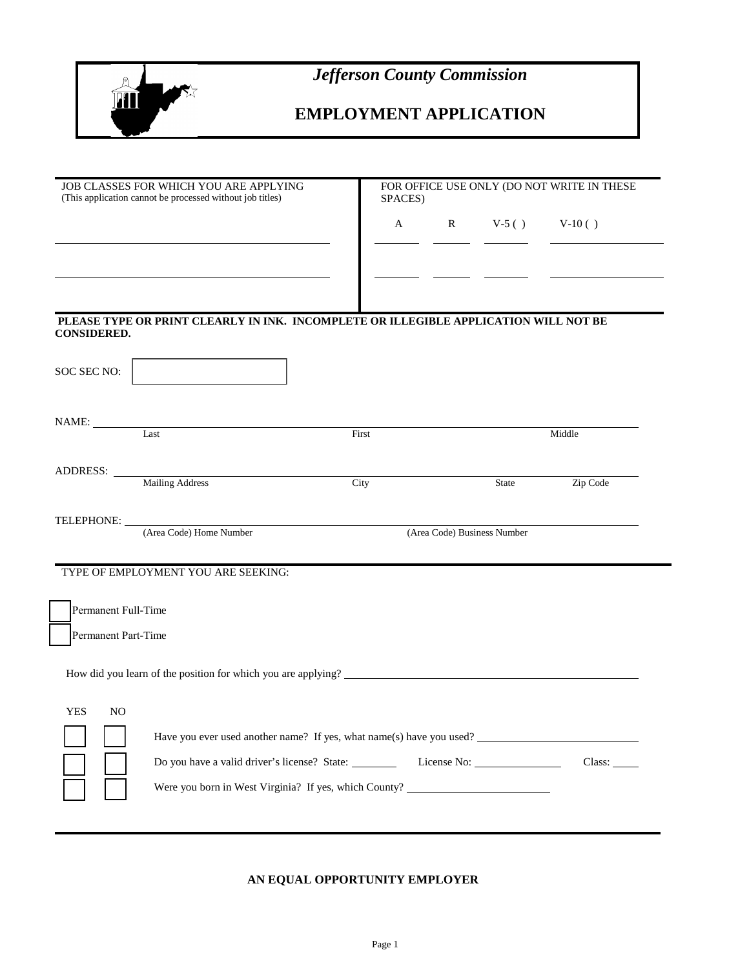

*Jefferson County Commission*

# **EMPLOYMENT APPLICATION**

| JOB CLASSES FOR WHICH YOU ARE APPLYING<br>(This application cannot be processed without job titles) |                                                                                      |                    | FOR OFFICE USE ONLY (DO NOT WRITE IN THESE<br>SPACES) |                             |          |
|-----------------------------------------------------------------------------------------------------|--------------------------------------------------------------------------------------|--------------------|-------------------------------------------------------|-----------------------------|----------|
|                                                                                                     |                                                                                      | $\mathbf{A}$       |                                                       | R $V-5()$ $V-10()$          |          |
|                                                                                                     |                                                                                      |                    |                                                       |                             |          |
|                                                                                                     |                                                                                      |                    |                                                       |                             |          |
|                                                                                                     |                                                                                      |                    |                                                       |                             |          |
| <b>CONSIDERED.</b>                                                                                  | PLEASE TYPE OR PRINT CLEARLY IN INK. INCOMPLETE OR ILLEGIBLE APPLICATION WILL NOT BE |                    |                                                       |                             |          |
|                                                                                                     |                                                                                      |                    |                                                       |                             |          |
| SOC SEC NO:                                                                                         |                                                                                      |                    |                                                       |                             |          |
|                                                                                                     |                                                                                      |                    |                                                       |                             |          |
|                                                                                                     | NAME:<br>Last                                                                        | $\overline{First}$ |                                                       |                             | Middle   |
|                                                                                                     |                                                                                      |                    |                                                       |                             |          |
|                                                                                                     | ADDRESS: Mailing Address                                                             | City               |                                                       | <b>State</b>                | Zip Code |
|                                                                                                     |                                                                                      |                    |                                                       |                             |          |
|                                                                                                     | TELEPHONE:<br>(Area Code) Home Number                                                |                    |                                                       | (Area Code) Business Number |          |
|                                                                                                     |                                                                                      |                    |                                                       |                             |          |
|                                                                                                     | TYPE OF EMPLOYMENT YOU ARE SEEKING:                                                  |                    |                                                       |                             |          |
| Permanent Full-Time                                                                                 |                                                                                      |                    |                                                       |                             |          |
| Permanent Part-Time                                                                                 |                                                                                      |                    |                                                       |                             |          |
|                                                                                                     |                                                                                      |                    |                                                       |                             |          |
|                                                                                                     | How did you learn of the position for which you are applying?                        |                    |                                                       |                             |          |
| <b>YES</b><br>N <sub>O</sub>                                                                        |                                                                                      |                    |                                                       |                             |          |
|                                                                                                     | Have you ever used another name? If yes, what name(s) have you used?                 |                    |                                                       |                             |          |
|                                                                                                     | Do you have a valid driver's license? State: _______                                 |                    |                                                       |                             |          |
|                                                                                                     |                                                                                      |                    |                                                       |                             | Class:   |
|                                                                                                     | Were you born in West Virginia? If yes, which County? __________________________     |                    |                                                       |                             |          |

# **AN EQUAL OPPORTUNITY EMPLOYER**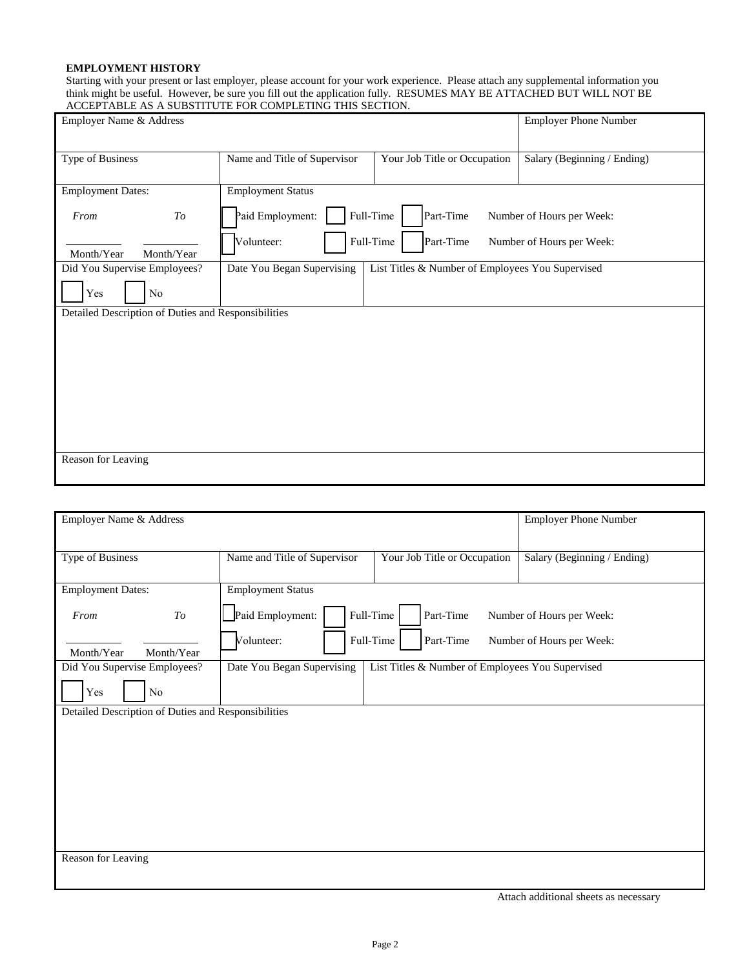### **EMPLOYMENT HISTORY**

Starting with your present or last employer, please account for your work experience. Please attach any supplemental information you think might be useful. However, be sure you fill out the application fully. RESUMES MAY BE ATTACHED BUT WILL NOT BE ACCEPTABLE AS A SUBSTITUTE FOR COMPLETING THIS SECTION.

| Employer Name & Address                             |                              | <b>Employer Phone Number</b>                     |                             |
|-----------------------------------------------------|------------------------------|--------------------------------------------------|-----------------------------|
| Type of Business                                    | Name and Title of Supervisor | Your Job Title or Occupation                     | Salary (Beginning / Ending) |
| <b>Employment Dates:</b>                            | <b>Employment Status</b>     |                                                  |                             |
| From<br>To                                          | Paid Employment:             | Full-Time<br>Part-Time                           | Number of Hours per Week:   |
| Month/Year<br>Month/Year                            | Volunteer:                   | Full-Time<br>Part-Time                           | Number of Hours per Week:   |
| Did You Supervise Employees?                        | Date You Began Supervising   | List Titles & Number of Employees You Supervised |                             |
| Yes<br>No                                           |                              |                                                  |                             |
| Detailed Description of Duties and Responsibilities |                              |                                                  |                             |
|                                                     |                              |                                                  |                             |
|                                                     |                              |                                                  |                             |
|                                                     |                              |                                                  |                             |
|                                                     |                              |                                                  |                             |
|                                                     |                              |                                                  |                             |
|                                                     |                              |                                                  |                             |
|                                                     |                              |                                                  |                             |
|                                                     |                              |                                                  |                             |
| Reason for Leaving                                  |                              |                                                  |                             |
|                                                     |                              |                                                  |                             |

| Employer Name & Address                             | <b>Employer Phone Number</b> |                                                  |                             |  |  |
|-----------------------------------------------------|------------------------------|--------------------------------------------------|-----------------------------|--|--|
| Type of Business                                    | Name and Title of Supervisor | Your Job Title or Occupation                     | Salary (Beginning / Ending) |  |  |
|                                                     |                              |                                                  |                             |  |  |
| <b>Employment Dates:</b>                            | <b>Employment Status</b>     |                                                  |                             |  |  |
| $\mathit{To}$<br>From                               | Paid Employment:             | Full-Time<br>Part-Time                           | Number of Hours per Week:   |  |  |
| Month/Year<br>Month/Year                            | Volunteer:                   | Full-Time<br>Part-Time                           | Number of Hours per Week:   |  |  |
| Did You Supervise Employees?                        | Date You Began Supervising   | List Titles & Number of Employees You Supervised |                             |  |  |
| Yes<br>No                                           |                              |                                                  |                             |  |  |
| Detailed Description of Duties and Responsibilities |                              |                                                  |                             |  |  |
|                                                     |                              |                                                  |                             |  |  |
|                                                     |                              |                                                  |                             |  |  |
|                                                     |                              |                                                  |                             |  |  |
|                                                     |                              |                                                  |                             |  |  |
|                                                     |                              |                                                  |                             |  |  |
|                                                     |                              |                                                  |                             |  |  |
| Reason for Leaving                                  |                              |                                                  |                             |  |  |
|                                                     |                              |                                                  |                             |  |  |

Attach additional sheets as necessary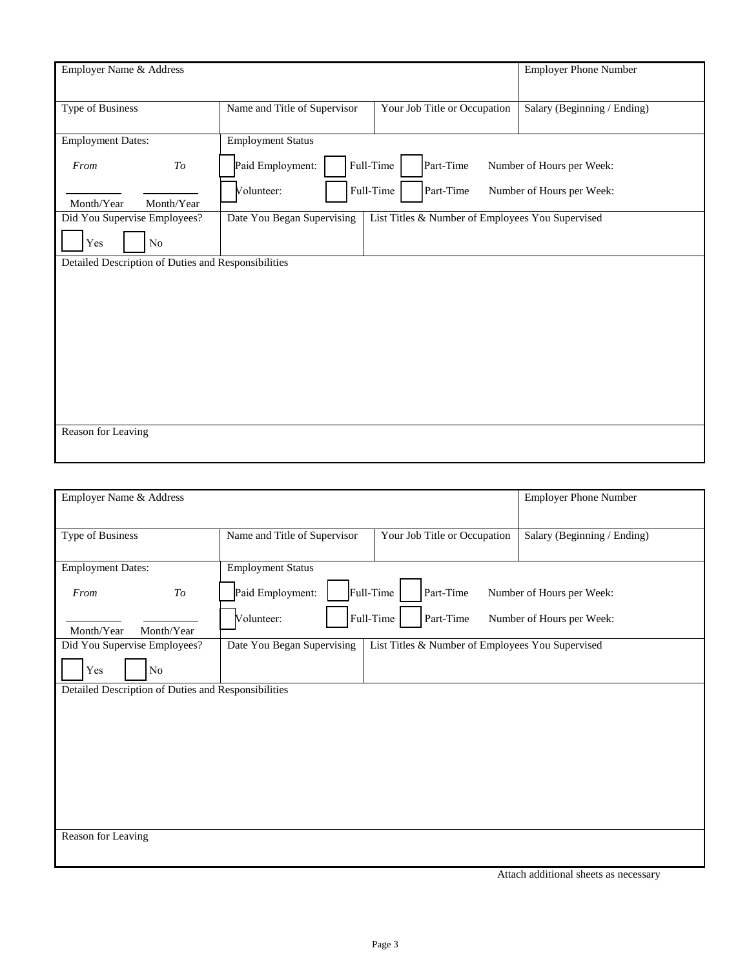| Employer Name & Address                             |               |                                                                                |                              |  | <b>Employer Phone Number</b> |
|-----------------------------------------------------|---------------|--------------------------------------------------------------------------------|------------------------------|--|------------------------------|
| <b>Type of Business</b>                             |               | Name and Title of Supervisor                                                   | Your Job Title or Occupation |  | Salary (Beginning / Ending)  |
| <b>Employment Dates:</b>                            |               | <b>Employment Status</b>                                                       |                              |  |                              |
| From                                                | $\mathit{To}$ | Paid Employment:                                                               | Full-Time<br>Part-Time       |  | Number of Hours per Week:    |
| Month/Year                                          | Month/Year    | Volunteer:                                                                     | Full-Time<br>Part-Time       |  | Number of Hours per Week:    |
| Did You Supervise Employees?                        |               | List Titles & Number of Employees You Supervised<br>Date You Began Supervising |                              |  |                              |
| Yes                                                 | No            |                                                                                |                              |  |                              |
| Detailed Description of Duties and Responsibilities |               |                                                                                |                              |  |                              |
|                                                     |               |                                                                                |                              |  |                              |
|                                                     |               |                                                                                |                              |  |                              |
|                                                     |               |                                                                                |                              |  |                              |
|                                                     |               |                                                                                |                              |  |                              |
|                                                     |               |                                                                                |                              |  |                              |
|                                                     |               |                                                                                |                              |  |                              |
|                                                     |               |                                                                                |                              |  |                              |
| Reason for Leaving                                  |               |                                                                                |                              |  |                              |
|                                                     |               |                                                                                |                              |  |                              |

| Employer Name & Address                             |                              |                                                  | <b>Employer Phone Number</b> |  |  |
|-----------------------------------------------------|------------------------------|--------------------------------------------------|------------------------------|--|--|
| Type of Business                                    | Name and Title of Supervisor | Your Job Title or Occupation                     |                              |  |  |
|                                                     |                              |                                                  |                              |  |  |
| <b>Employment Dates:</b>                            |                              | <b>Employment Status</b>                         |                              |  |  |
| $\mathit{To}$<br>From                               | Paid Employment:             | Full-Time<br>Part-Time                           | Number of Hours per Week:    |  |  |
| Month/Year<br>Month/Year                            | Volunteer:                   | Full-Time<br>Part-Time                           | Number of Hours per Week:    |  |  |
| Did You Supervise Employees?                        | Date You Began Supervising   | List Titles & Number of Employees You Supervised |                              |  |  |
| Yes<br>N <sub>o</sub>                               |                              |                                                  |                              |  |  |
| Detailed Description of Duties and Responsibilities |                              |                                                  |                              |  |  |
|                                                     |                              |                                                  |                              |  |  |
|                                                     |                              |                                                  |                              |  |  |
|                                                     |                              |                                                  |                              |  |  |
|                                                     |                              |                                                  |                              |  |  |
|                                                     |                              |                                                  |                              |  |  |
|                                                     |                              |                                                  |                              |  |  |
|                                                     |                              |                                                  |                              |  |  |
| Reason for Leaving                                  |                              |                                                  |                              |  |  |
|                                                     |                              |                                                  |                              |  |  |

Attach additional sheets as necessary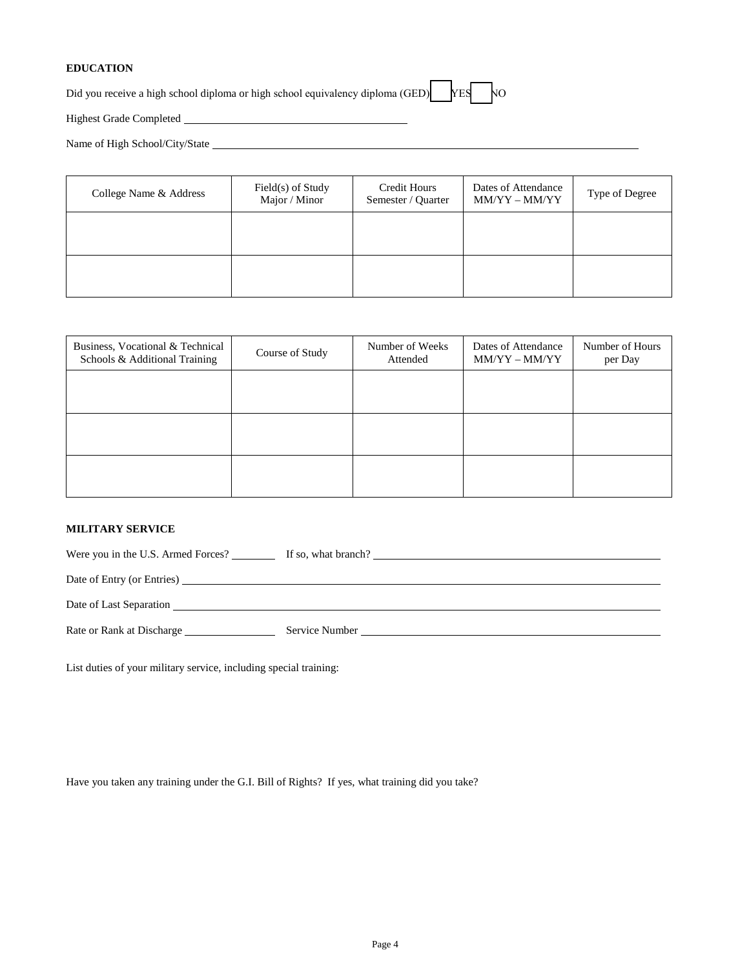### **EDUCATION**

Did you receive a high school diploma or high school equivalency diploma (GED)  $\begin{bmatrix} YES \\ YES \end{bmatrix}$ 

Highest Grade Completed

Name of High School/City/State

| College Name & Address | Field(s) of Study<br>Major / Minor | <b>Credit Hours</b><br>Semester / Quarter | Dates of Attendance<br>MM/YY - MM/YY | Type of Degree |
|------------------------|------------------------------------|-------------------------------------------|--------------------------------------|----------------|
|                        |                                    |                                           |                                      |                |
|                        |                                    |                                           |                                      |                |

| Business, Vocational & Technical<br>Schools & Additional Training | Course of Study | Number of Weeks<br>Attended | Dates of Attendance<br>$MM/YY - MM/YY$ | Number of Hours<br>per Day |
|-------------------------------------------------------------------|-----------------|-----------------------------|----------------------------------------|----------------------------|
|                                                                   |                 |                             |                                        |                            |
|                                                                   |                 |                             |                                        |                            |
|                                                                   |                 |                             |                                        |                            |
|                                                                   |                 |                             |                                        |                            |

#### **MILITARY SERVICE**

| Were you in the U.S. Armed Forces? | If so, what branch?                                  |
|------------------------------------|------------------------------------------------------|
|                                    |                                                      |
| Date of Last Separation            |                                                      |
| Rate or Rank at Discharge          | Service Number and the service of the service Number |

List duties of your military service, including special training:

Have you taken any training under the G.I. Bill of Rights? If yes, what training did you take?